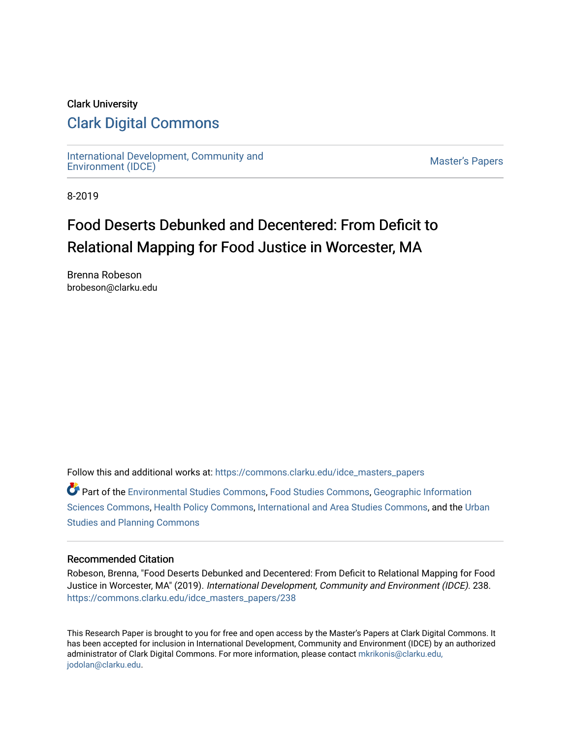## Clark University [Clark Digital Commons](https://commons.clarku.edu/)

[International Development, Community and](https://commons.clarku.edu/idce_masters_papers)  miemational Development, Community and [Master's Papers](https://commons.clarku.edu/masters_papers) Master's Papers Papers

8-2019

# Food Deserts Debunked and Decentered: From Deficit to Relational Mapping for Food Justice in Worcester, MA

Brenna Robeson brobeson@clarku.edu

Follow this and additional works at: [https://commons.clarku.edu/idce\\_masters\\_papers](https://commons.clarku.edu/idce_masters_papers?utm_source=commons.clarku.edu%2Fidce_masters_papers%2F238&utm_medium=PDF&utm_campaign=PDFCoverPages) 

Part of the [Environmental Studies Commons](http://network.bepress.com/hgg/discipline/1333?utm_source=commons.clarku.edu%2Fidce_masters_papers%2F238&utm_medium=PDF&utm_campaign=PDFCoverPages), [Food Studies Commons](http://network.bepress.com/hgg/discipline/1386?utm_source=commons.clarku.edu%2Fidce_masters_papers%2F238&utm_medium=PDF&utm_campaign=PDFCoverPages), [Geographic Information](http://network.bepress.com/hgg/discipline/358?utm_source=commons.clarku.edu%2Fidce_masters_papers%2F238&utm_medium=PDF&utm_campaign=PDFCoverPages) [Sciences Commons,](http://network.bepress.com/hgg/discipline/358?utm_source=commons.clarku.edu%2Fidce_masters_papers%2F238&utm_medium=PDF&utm_campaign=PDFCoverPages) [Health Policy Commons](http://network.bepress.com/hgg/discipline/395?utm_source=commons.clarku.edu%2Fidce_masters_papers%2F238&utm_medium=PDF&utm_campaign=PDFCoverPages), [International and Area Studies Commons,](http://network.bepress.com/hgg/discipline/360?utm_source=commons.clarku.edu%2Fidce_masters_papers%2F238&utm_medium=PDF&utm_campaign=PDFCoverPages) and the [Urban](http://network.bepress.com/hgg/discipline/436?utm_source=commons.clarku.edu%2Fidce_masters_papers%2F238&utm_medium=PDF&utm_campaign=PDFCoverPages) [Studies and Planning Commons](http://network.bepress.com/hgg/discipline/436?utm_source=commons.clarku.edu%2Fidce_masters_papers%2F238&utm_medium=PDF&utm_campaign=PDFCoverPages)

#### Recommended Citation

Robeson, Brenna, "Food Deserts Debunked and Decentered: From Deficit to Relational Mapping for Food Justice in Worcester, MA" (2019). International Development, Community and Environment (IDCE). 238. [https://commons.clarku.edu/idce\\_masters\\_papers/238](https://commons.clarku.edu/idce_masters_papers/238?utm_source=commons.clarku.edu%2Fidce_masters_papers%2F238&utm_medium=PDF&utm_campaign=PDFCoverPages) 

This Research Paper is brought to you for free and open access by the Master's Papers at Clark Digital Commons. It has been accepted for inclusion in International Development, Community and Environment (IDCE) by an authorized administrator of Clark Digital Commons. For more information, please contact [mkrikonis@clarku.edu,](mailto:mkrikonis@clarku.edu,%20jodolan@clarku.edu)  [jodolan@clarku.edu](mailto:mkrikonis@clarku.edu,%20jodolan@clarku.edu).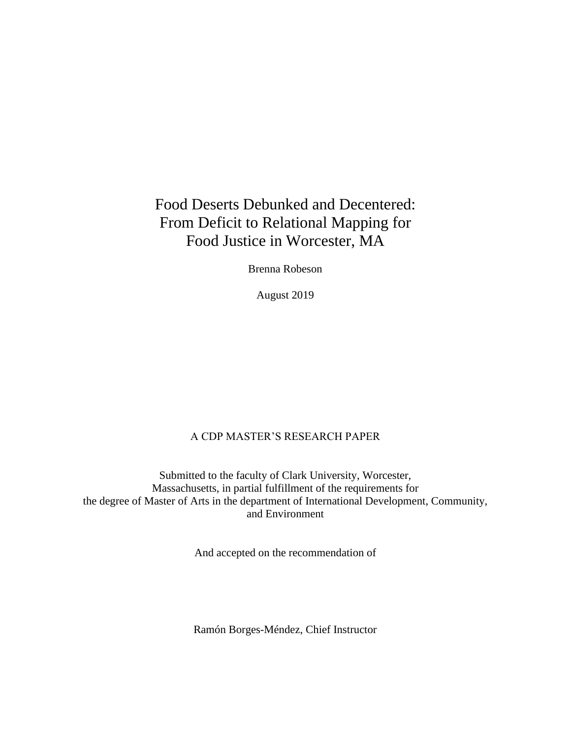## Food Deserts Debunked and Decentered: From Deficit to Relational Mapping for Food Justice in Worcester, MA

Brenna Robeson

August 2019

### A CDP MASTER'S RESEARCH PAPER

Submitted to the faculty of Clark University, Worcester, Massachusetts, in partial fulfillment of the requirements for the degree of Master of Arts in the department of International Development, Community, and Environment

And accepted on the recommendation of

Ramón Borges-Méndez, Chief Instructor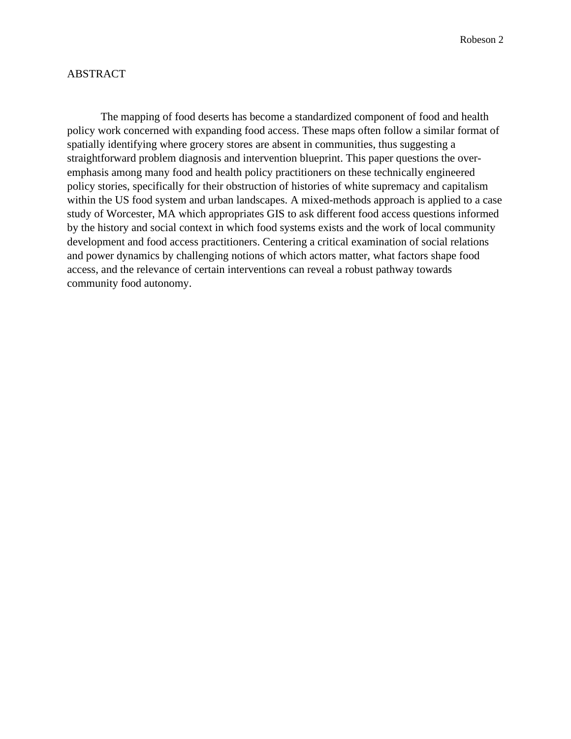#### ABSTRACT

The mapping of food deserts has become a standardized component of food and health policy work concerned with expanding food access. These maps often follow a similar format of spatially identifying where grocery stores are absent in communities, thus suggesting a straightforward problem diagnosis and intervention blueprint. This paper questions the overemphasis among many food and health policy practitioners on these technically engineered policy stories, specifically for their obstruction of histories of white supremacy and capitalism within the US food system and urban landscapes. A mixed-methods approach is applied to a case study of Worcester, MA which appropriates GIS to ask different food access questions informed by the history and social context in which food systems exists and the work of local community development and food access practitioners. Centering a critical examination of social relations and power dynamics by challenging notions of which actors matter, what factors shape food access, and the relevance of certain interventions can reveal a robust pathway towards community food autonomy.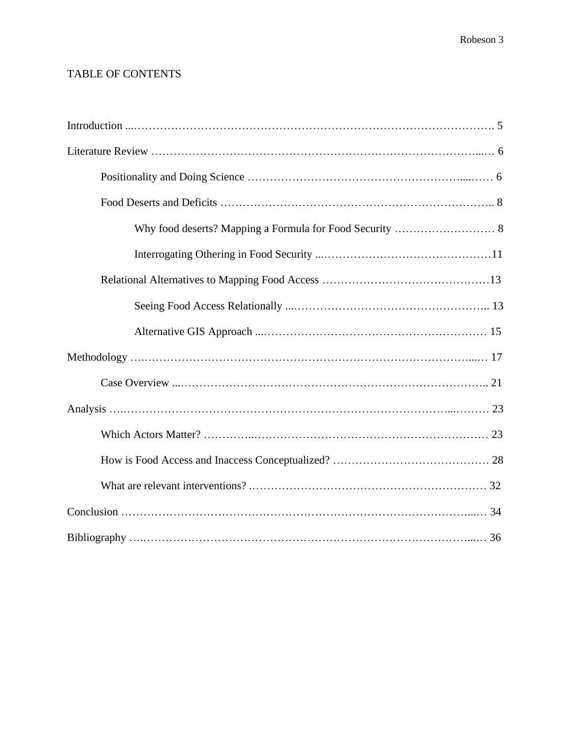## TABLE OF CONTENTS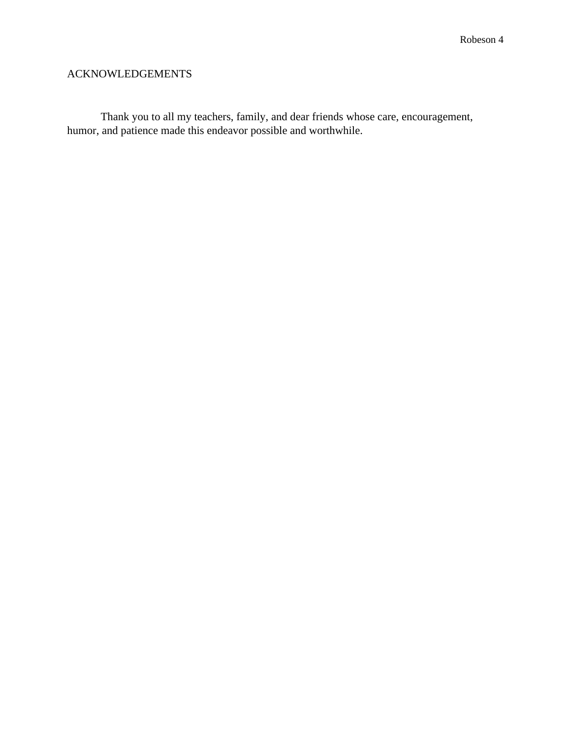### ACKNOWLEDGEMENTS

Thank you to all my teachers, family, and dear friends whose care, encouragement, humor, and patience made this endeavor possible and worthwhile.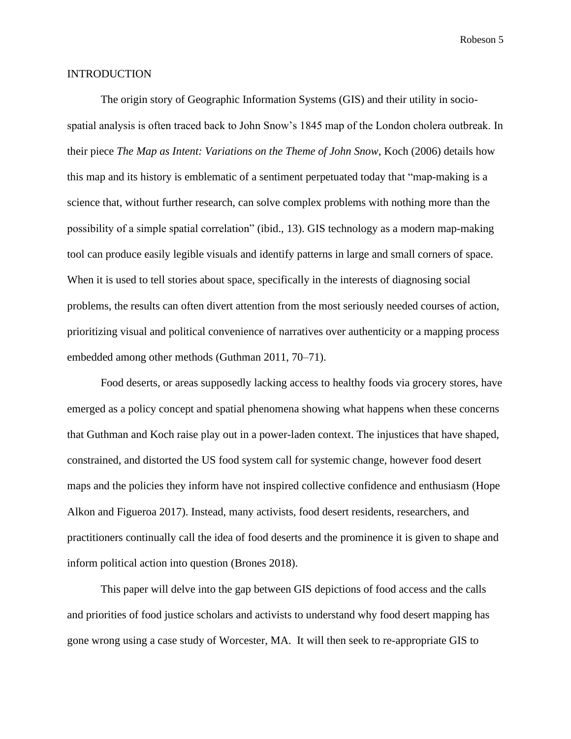#### INTRODUCTION

The origin story of Geographic Information Systems (GIS) and their utility in sociospatial analysis is often traced back to John Snow's 1845 map of the London cholera outbreak. In their piece *The Map as Intent: Variations on the Theme of John Snow*, Koch (2006) details how this map and its history is emblematic of a sentiment perpetuated today that "map-making is a science that, without further research, can solve complex problems with nothing more than the possibility of a simple spatial correlation" (ibid., 13). GIS technology as a modern map-making tool can produce easily legible visuals and identify patterns in large and small corners of space. When it is used to tell stories about space, specifically in the interests of diagnosing social problems, the results can often divert attention from the most seriously needed courses of action, prioritizing visual and political convenience of narratives over authenticity or a mapping process embedded among other methods (Guthman 2011, 70–71).

Food deserts, or areas supposedly lacking access to healthy foods via grocery stores, have emerged as a policy concept and spatial phenomena showing what happens when these concerns that Guthman and Koch raise play out in a power-laden context. The injustices that have shaped, constrained, and distorted the US food system call for systemic change, however food desert maps and the policies they inform have not inspired collective confidence and enthusiasm (Hope Alkon and Figueroa 2017). Instead, many activists, food desert residents, researchers, and practitioners continually call the idea of food deserts and the prominence it is given to shape and inform political action into question (Brones 2018).

This paper will delve into the gap between GIS depictions of food access and the calls and priorities of food justice scholars and activists to understand why food desert mapping has gone wrong using a case study of Worcester, MA. It will then seek to re-appropriate GIS to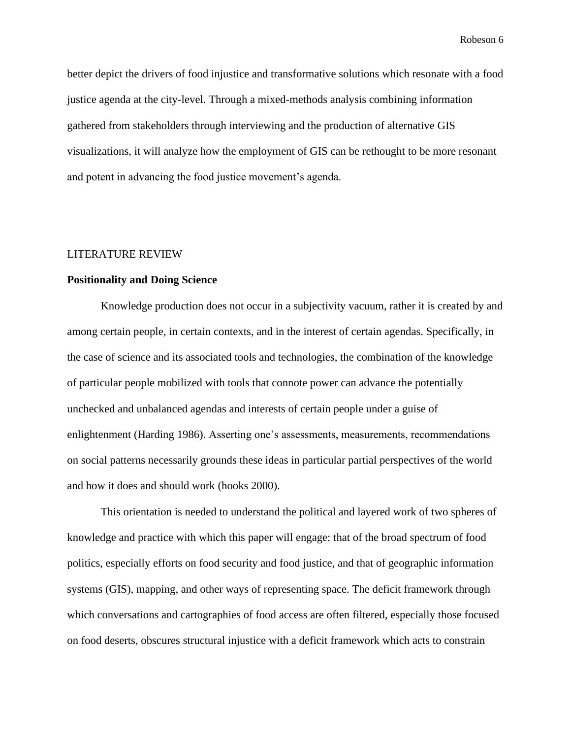better depict the drivers of food injustice and transformative solutions which resonate with a food justice agenda at the city-level. Through a mixed-methods analysis combining information gathered from stakeholders through interviewing and the production of alternative GIS visualizations, it will analyze how the employment of GIS can be rethought to be more resonant and potent in advancing the food justice movement's agenda.

#### LITERATURE REVIEW

#### **Positionality and Doing Science**

Knowledge production does not occur in a subjectivity vacuum, rather it is created by and among certain people, in certain contexts, and in the interest of certain agendas. Specifically, in the case of science and its associated tools and technologies, the combination of the knowledge of particular people mobilized with tools that connote power can advance the potentially unchecked and unbalanced agendas and interests of certain people under a guise of enlightenment (Harding 1986). Asserting one's assessments, measurements, recommendations on social patterns necessarily grounds these ideas in particular partial perspectives of the world and how it does and should work (hooks 2000).

This orientation is needed to understand the political and layered work of two spheres of knowledge and practice with which this paper will engage: that of the broad spectrum of food politics, especially efforts on food security and food justice, and that of geographic information systems (GIS), mapping, and other ways of representing space. The deficit framework through which conversations and cartographies of food access are often filtered, especially those focused on food deserts, obscures structural injustice with a deficit framework which acts to constrain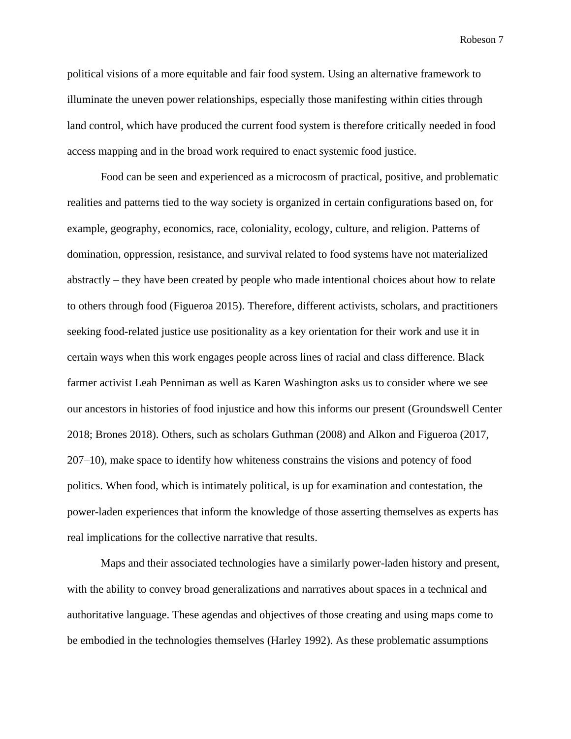political visions of a more equitable and fair food system. Using an alternative framework to illuminate the uneven power relationships, especially those manifesting within cities through land control, which have produced the current food system is therefore critically needed in food access mapping and in the broad work required to enact systemic food justice.

Food can be seen and experienced as a microcosm of practical, positive, and problematic realities and patterns tied to the way society is organized in certain configurations based on, for example, geography, economics, race, coloniality, ecology, culture, and religion. Patterns of domination, oppression, resistance, and survival related to food systems have not materialized abstractly – they have been created by people who made intentional choices about how to relate to others through food (Figueroa 2015). Therefore, different activists, scholars, and practitioners seeking food-related justice use positionality as a key orientation for their work and use it in certain ways when this work engages people across lines of racial and class difference. Black farmer activist Leah Penniman as well as Karen Washington asks us to consider where we see our ancestors in histories of food injustice and how this informs our present (Groundswell Center 2018; Brones 2018). Others, such as scholars Guthman (2008) and Alkon and Figueroa (2017, 207–10), make space to identify how whiteness constrains the visions and potency of food politics. When food, which is intimately political, is up for examination and contestation, the power-laden experiences that inform the knowledge of those asserting themselves as experts has real implications for the collective narrative that results.

Maps and their associated technologies have a similarly power-laden history and present, with the ability to convey broad generalizations and narratives about spaces in a technical and authoritative language. These agendas and objectives of those creating and using maps come to be embodied in the technologies themselves (Harley 1992). As these problematic assumptions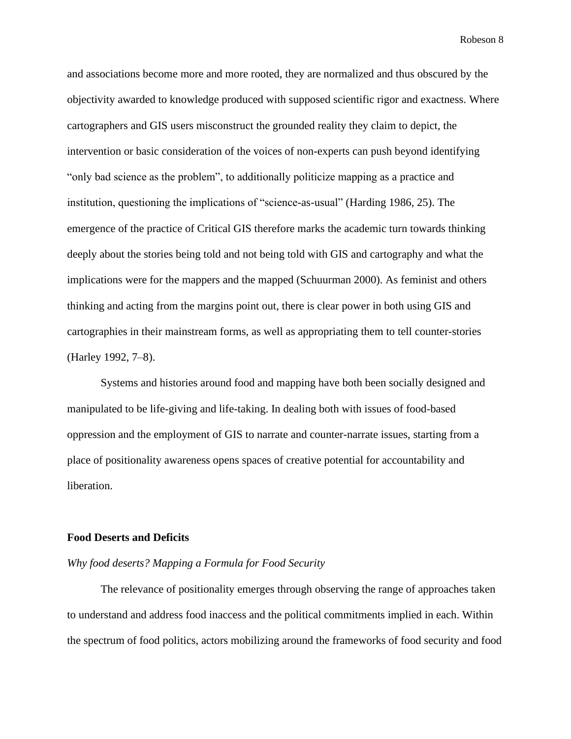and associations become more and more rooted, they are normalized and thus obscured by the objectivity awarded to knowledge produced with supposed scientific rigor and exactness. Where cartographers and GIS users misconstruct the grounded reality they claim to depict, the intervention or basic consideration of the voices of non-experts can push beyond identifying "only bad science as the problem", to additionally politicize mapping as a practice and institution, questioning the implications of "science-as-usual" (Harding 1986, 25). The emergence of the practice of Critical GIS therefore marks the academic turn towards thinking deeply about the stories being told and not being told with GIS and cartography and what the implications were for the mappers and the mapped (Schuurman 2000). As feminist and others thinking and acting from the margins point out, there is clear power in both using GIS and cartographies in their mainstream forms, as well as appropriating them to tell counter-stories (Harley 1992, 7–8).

Systems and histories around food and mapping have both been socially designed and manipulated to be life-giving and life-taking. In dealing both with issues of food-based oppression and the employment of GIS to narrate and counter-narrate issues, starting from a place of positionality awareness opens spaces of creative potential for accountability and liberation.

#### **Food Deserts and Deficits**

#### *Why food deserts? Mapping a Formula for Food Security*

The relevance of positionality emerges through observing the range of approaches taken to understand and address food inaccess and the political commitments implied in each. Within the spectrum of food politics, actors mobilizing around the frameworks of food security and food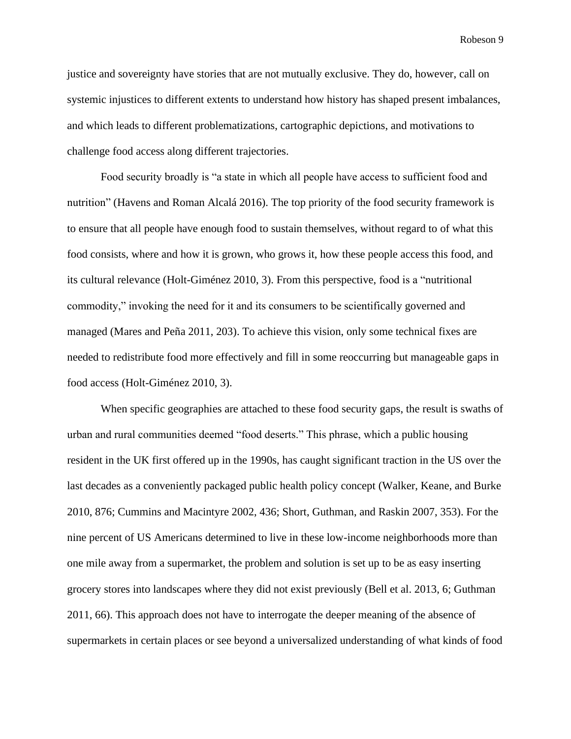justice and sovereignty have stories that are not mutually exclusive. They do, however, call on systemic injustices to different extents to understand how history has shaped present imbalances, and which leads to different problematizations, cartographic depictions, and motivations to challenge food access along different trajectories.

Food security broadly is "a state in which all people have access to sufficient food and nutrition" (Havens and Roman Alcalá 2016). The top priority of the food security framework is to ensure that all people have enough food to sustain themselves, without regard to of what this food consists, where and how it is grown, who grows it, how these people access this food, and its cultural relevance (Holt-Giménez 2010, 3). From this perspective, food is a "nutritional commodity," invoking the need for it and its consumers to be scientifically governed and managed (Mares and Peña 2011, 203). To achieve this vision, only some technical fixes are needed to redistribute food more effectively and fill in some reoccurring but manageable gaps in food access (Holt-Giménez 2010, 3).

When specific geographies are attached to these food security gaps, the result is swaths of urban and rural communities deemed "food deserts." This phrase, which a public housing resident in the UK first offered up in the 1990s, has caught significant traction in the US over the last decades as a conveniently packaged public health policy concept (Walker, Keane, and Burke 2010, 876; Cummins and Macintyre 2002, 436; Short, Guthman, and Raskin 2007, 353). For the nine percent of US Americans determined to live in these low-income neighborhoods more than one mile away from a supermarket, the problem and solution is set up to be as easy inserting grocery stores into landscapes where they did not exist previously (Bell et al. 2013, 6; Guthman 2011, 66). This approach does not have to interrogate the deeper meaning of the absence of supermarkets in certain places or see beyond a universalized understanding of what kinds of food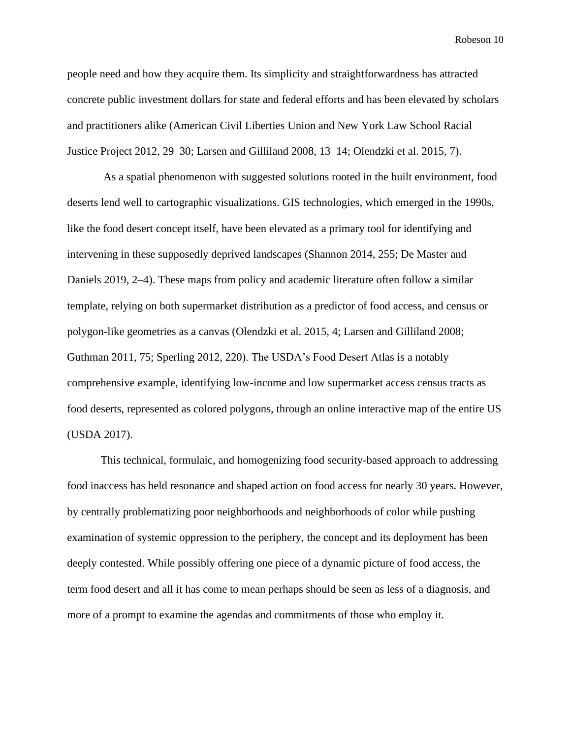people need and how they acquire them. Its simplicity and straightforwardness has attracted concrete public investment dollars for state and federal efforts and has been elevated by scholars and practitioners alike (American Civil Liberties Union and New York Law School Racial Justice Project 2012, 29–30; Larsen and Gilliland 2008, 13–14; Olendzki et al. 2015, 7).

As a spatial phenomenon with suggested solutions rooted in the built environment, food deserts lend well to cartographic visualizations. GIS technologies, which emerged in the 1990s, like the food desert concept itself, have been elevated as a primary tool for identifying and intervening in these supposedly deprived landscapes (Shannon 2014, 255; De Master and Daniels 2019, 2–4). These maps from policy and academic literature often follow a similar template, relying on both supermarket distribution as a predictor of food access, and census or polygon-like geometries as a canvas (Olendzki et al. 2015, 4; Larsen and Gilliland 2008; Guthman 2011, 75; Sperling 2012, 220). The USDA's Food Desert Atlas is a notably comprehensive example, identifying low-income and low supermarket access census tracts as food deserts, represented as colored polygons, through an online interactive map of the entire US (USDA 2017).

This technical, formulaic, and homogenizing food security-based approach to addressing food inaccess has held resonance and shaped action on food access for nearly 30 years. However, by centrally problematizing poor neighborhoods and neighborhoods of color while pushing examination of systemic oppression to the periphery, the concept and its deployment has been deeply contested. While possibly offering one piece of a dynamic picture of food access, the term food desert and all it has come to mean perhaps should be seen as less of a diagnosis, and more of a prompt to examine the agendas and commitments of those who employ it.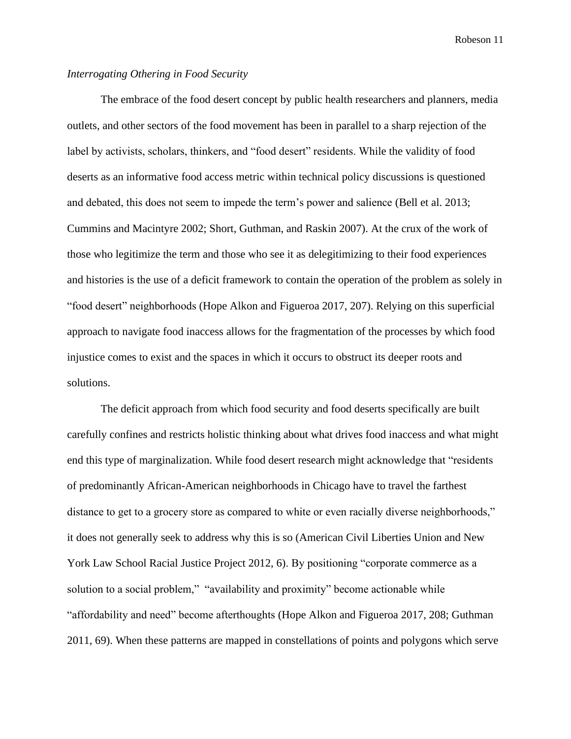#### *Interrogating Othering in Food Security*

The embrace of the food desert concept by public health researchers and planners, media outlets, and other sectors of the food movement has been in parallel to a sharp rejection of the label by activists, scholars, thinkers, and "food desert" residents. While the validity of food deserts as an informative food access metric within technical policy discussions is questioned and debated, this does not seem to impede the term's power and salience (Bell et al. 2013; Cummins and Macintyre 2002; Short, Guthman, and Raskin 2007). At the crux of the work of those who legitimize the term and those who see it as delegitimizing to their food experiences and histories is the use of a deficit framework to contain the operation of the problem as solely in "food desert" neighborhoods (Hope Alkon and Figueroa 2017, 207). Relying on this superficial approach to navigate food inaccess allows for the fragmentation of the processes by which food injustice comes to exist and the spaces in which it occurs to obstruct its deeper roots and solutions.

The deficit approach from which food security and food deserts specifically are built carefully confines and restricts holistic thinking about what drives food inaccess and what might end this type of marginalization. While food desert research might acknowledge that "residents of predominantly African-American neighborhoods in Chicago have to travel the farthest distance to get to a grocery store as compared to white or even racially diverse neighborhoods," it does not generally seek to address why this is so (American Civil Liberties Union and New York Law School Racial Justice Project 2012, 6). By positioning "corporate commerce as a solution to a social problem," "availability and proximity" become actionable while "affordability and need" become afterthoughts (Hope Alkon and Figueroa 2017, 208; Guthman 2011, 69). When these patterns are mapped in constellations of points and polygons which serve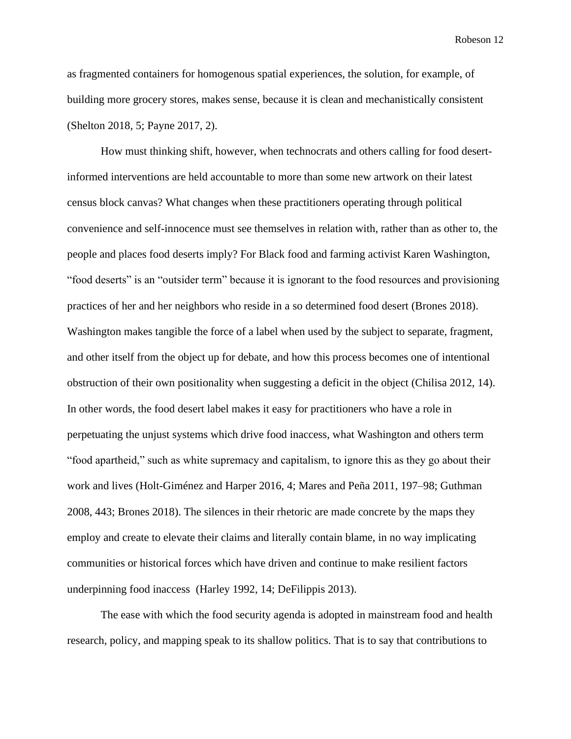as fragmented containers for homogenous spatial experiences, the solution, for example, of building more grocery stores, makes sense, because it is clean and mechanistically consistent (Shelton 2018, 5; Payne 2017, 2).

How must thinking shift, however, when technocrats and others calling for food desertinformed interventions are held accountable to more than some new artwork on their latest census block canvas? What changes when these practitioners operating through political convenience and self-innocence must see themselves in relation with, rather than as other to, the people and places food deserts imply? For Black food and farming activist Karen Washington, "food deserts" is an "outsider term" because it is ignorant to the food resources and provisioning practices of her and her neighbors who reside in a so determined food desert (Brones 2018). Washington makes tangible the force of a label when used by the subject to separate, fragment, and other itself from the object up for debate, and how this process becomes one of intentional obstruction of their own positionality when suggesting a deficit in the object (Chilisa 2012, 14). In other words, the food desert label makes it easy for practitioners who have a role in perpetuating the unjust systems which drive food inaccess, what Washington and others term "food apartheid," such as white supremacy and capitalism, to ignore this as they go about their work and lives (Holt-Giménez and Harper 2016, 4; Mares and Peña 2011, 197–98; Guthman 2008, 443; Brones 2018). The silences in their rhetoric are made concrete by the maps they employ and create to elevate their claims and literally contain blame, in no way implicating communities or historical forces which have driven and continue to make resilient factors underpinning food inaccess (Harley 1992, 14; DeFilippis 2013).

The ease with which the food security agenda is adopted in mainstream food and health research, policy, and mapping speak to its shallow politics. That is to say that contributions to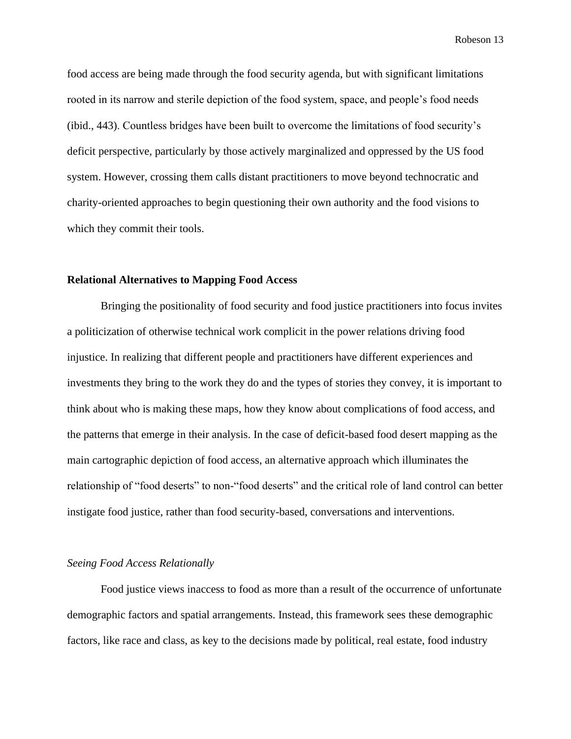food access are being made through the food security agenda, but with significant limitations rooted in its narrow and sterile depiction of the food system, space, and people's food needs (ibid., 443). Countless bridges have been built to overcome the limitations of food security's deficit perspective, particularly by those actively marginalized and oppressed by the US food system. However, crossing them calls distant practitioners to move beyond technocratic and charity-oriented approaches to begin questioning their own authority and the food visions to which they commit their tools.

#### **Relational Alternatives to Mapping Food Access**

Bringing the positionality of food security and food justice practitioners into focus invites a politicization of otherwise technical work complicit in the power relations driving food injustice. In realizing that different people and practitioners have different experiences and investments they bring to the work they do and the types of stories they convey, it is important to think about who is making these maps, how they know about complications of food access, and the patterns that emerge in their analysis. In the case of deficit-based food desert mapping as the main cartographic depiction of food access, an alternative approach which illuminates the relationship of "food deserts" to non-"food deserts" and the critical role of land control can better instigate food justice, rather than food security-based, conversations and interventions.

#### *Seeing Food Access Relationally*

Food justice views inaccess to food as more than a result of the occurrence of unfortunate demographic factors and spatial arrangements. Instead, this framework sees these demographic factors, like race and class, as key to the decisions made by political, real estate, food industry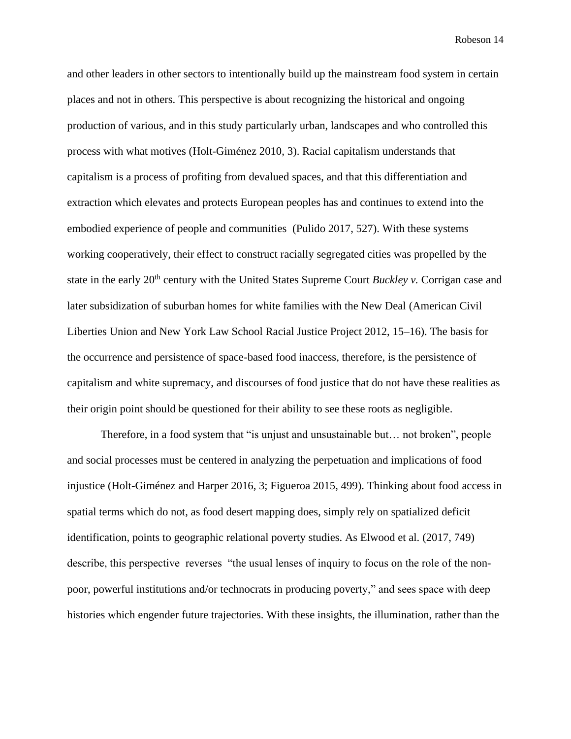and other leaders in other sectors to intentionally build up the mainstream food system in certain places and not in others. This perspective is about recognizing the historical and ongoing production of various, and in this study particularly urban, landscapes and who controlled this process with what motives (Holt-Giménez 2010, 3). Racial capitalism understands that capitalism is a process of profiting from devalued spaces, and that this differentiation and extraction which elevates and protects European peoples has and continues to extend into the embodied experience of people and communities (Pulido 2017, 527). With these systems working cooperatively, their effect to construct racially segregated cities was propelled by the state in the early 20th century with the United States Supreme Court *Buckley v.* Corrigan case and later subsidization of suburban homes for white families with the New Deal (American Civil Liberties Union and New York Law School Racial Justice Project 2012, 15–16). The basis for the occurrence and persistence of space-based food inaccess, therefore, is the persistence of capitalism and white supremacy, and discourses of food justice that do not have these realities as their origin point should be questioned for their ability to see these roots as negligible.

Therefore, in a food system that "is unjust and unsustainable but… not broken", people and social processes must be centered in analyzing the perpetuation and implications of food injustice (Holt-Giménez and Harper 2016, 3; Figueroa 2015, 499). Thinking about food access in spatial terms which do not, as food desert mapping does, simply rely on spatialized deficit identification, points to geographic relational poverty studies. As Elwood et al. (2017, 749) describe, this perspective reverses "the usual lenses of inquiry to focus on the role of the nonpoor, powerful institutions and/or technocrats in producing poverty," and sees space with deep histories which engender future trajectories. With these insights, the illumination, rather than the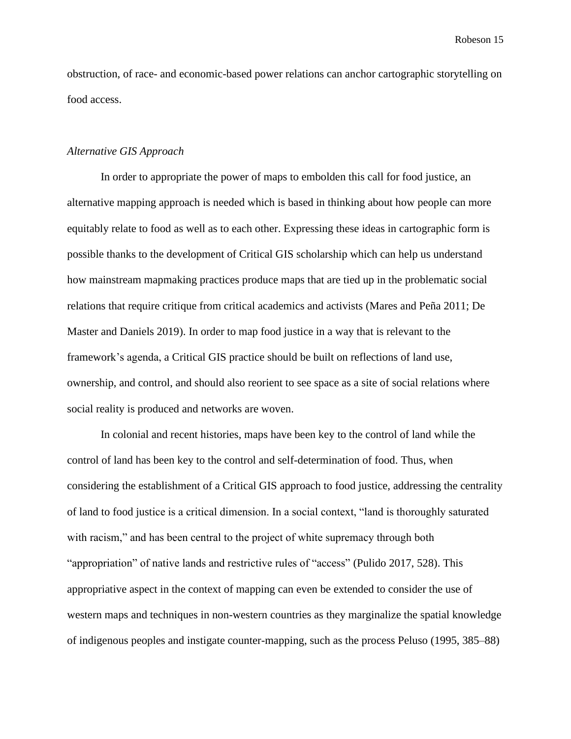obstruction, of race- and economic-based power relations can anchor cartographic storytelling on food access.

#### *Alternative GIS Approach*

In order to appropriate the power of maps to embolden this call for food justice, an alternative mapping approach is needed which is based in thinking about how people can more equitably relate to food as well as to each other. Expressing these ideas in cartographic form is possible thanks to the development of Critical GIS scholarship which can help us understand how mainstream mapmaking practices produce maps that are tied up in the problematic social relations that require critique from critical academics and activists (Mares and Peña 2011; De Master and Daniels 2019). In order to map food justice in a way that is relevant to the framework's agenda, a Critical GIS practice should be built on reflections of land use, ownership, and control, and should also reorient to see space as a site of social relations where social reality is produced and networks are woven.

In colonial and recent histories, maps have been key to the control of land while the control of land has been key to the control and self-determination of food. Thus, when considering the establishment of a Critical GIS approach to food justice, addressing the centrality of land to food justice is a critical dimension. In a social context, "land is thoroughly saturated with racism," and has been central to the project of white supremacy through both "appropriation" of native lands and restrictive rules of "access" (Pulido 2017, 528). This appropriative aspect in the context of mapping can even be extended to consider the use of western maps and techniques in non-western countries as they marginalize the spatial knowledge of indigenous peoples and instigate counter-mapping, such as the process Peluso (1995, 385–88)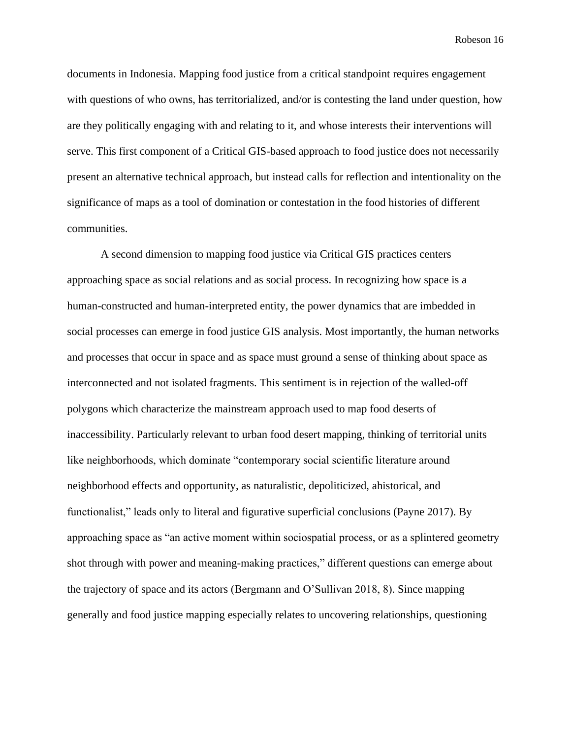documents in Indonesia. Mapping food justice from a critical standpoint requires engagement with questions of who owns, has territorialized, and/or is contesting the land under question, how are they politically engaging with and relating to it, and whose interests their interventions will serve. This first component of a Critical GIS-based approach to food justice does not necessarily present an alternative technical approach, but instead calls for reflection and intentionality on the significance of maps as a tool of domination or contestation in the food histories of different communities.

A second dimension to mapping food justice via Critical GIS practices centers approaching space as social relations and as social process. In recognizing how space is a human-constructed and human-interpreted entity, the power dynamics that are imbedded in social processes can emerge in food justice GIS analysis. Most importantly, the human networks and processes that occur in space and as space must ground a sense of thinking about space as interconnected and not isolated fragments. This sentiment is in rejection of the walled-off polygons which characterize the mainstream approach used to map food deserts of inaccessibility. Particularly relevant to urban food desert mapping, thinking of territorial units like neighborhoods, which dominate "contemporary social scientific literature around neighborhood effects and opportunity, as naturalistic, depoliticized, ahistorical, and functionalist," leads only to literal and figurative superficial conclusions (Payne 2017). By approaching space as "an active moment within sociospatial process, or as a splintered geometry shot through with power and meaning-making practices," different questions can emerge about the trajectory of space and its actors (Bergmann and O'Sullivan 2018, 8). Since mapping generally and food justice mapping especially relates to uncovering relationships, questioning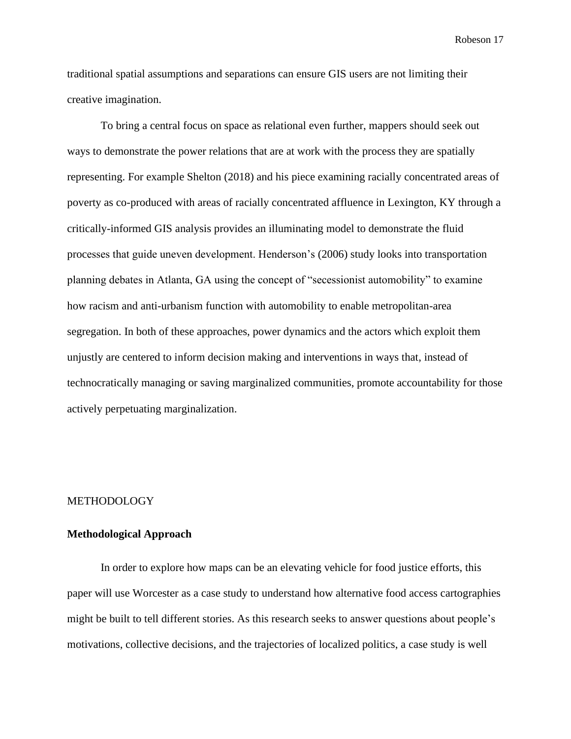traditional spatial assumptions and separations can ensure GIS users are not limiting their creative imagination.

To bring a central focus on space as relational even further, mappers should seek out ways to demonstrate the power relations that are at work with the process they are spatially representing. For example Shelton (2018) and his piece examining racially concentrated areas of poverty as co-produced with areas of racially concentrated affluence in Lexington, KY through a critically-informed GIS analysis provides an illuminating model to demonstrate the fluid processes that guide uneven development. Henderson's (2006) study looks into transportation planning debates in Atlanta, GA using the concept of "secessionist automobility" to examine how racism and anti-urbanism function with automobility to enable metropolitan-area segregation. In both of these approaches, power dynamics and the actors which exploit them unjustly are centered to inform decision making and interventions in ways that, instead of technocratically managing or saving marginalized communities, promote accountability for those actively perpetuating marginalization.

#### METHODOLOGY

#### **Methodological Approach**

In order to explore how maps can be an elevating vehicle for food justice efforts, this paper will use Worcester as a case study to understand how alternative food access cartographies might be built to tell different stories. As this research seeks to answer questions about people's motivations, collective decisions, and the trajectories of localized politics, a case study is well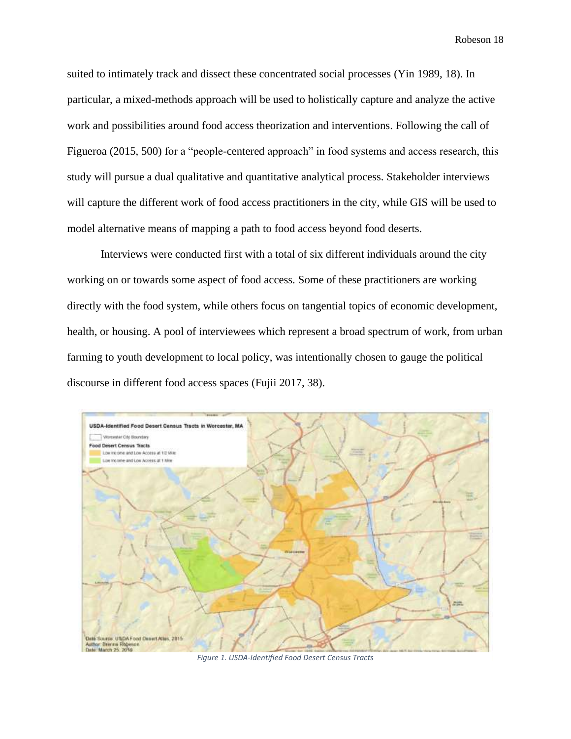suited to intimately track and dissect these concentrated social processes (Yin 1989, 18). In particular, a mixed-methods approach will be used to holistically capture and analyze the active work and possibilities around food access theorization and interventions. Following the call of Figueroa (2015, 500) for a "people-centered approach" in food systems and access research, this study will pursue a dual qualitative and quantitative analytical process. Stakeholder interviews will capture the different work of food access practitioners in the city, while GIS will be used to model alternative means of mapping a path to food access beyond food deserts.

Interviews were conducted first with a total of six different individuals around the city working on or towards some aspect of food access. Some of these practitioners are working directly with the food system, while others focus on tangential topics of economic development, health, or housing. A pool of interviewees which represent a broad spectrum of work, from urban farming to youth development to local policy, was intentionally chosen to gauge the political discourse in different food access spaces (Fujii 2017, 38).



*Figure 1. USDA-Identified Food Desert Census Tracts*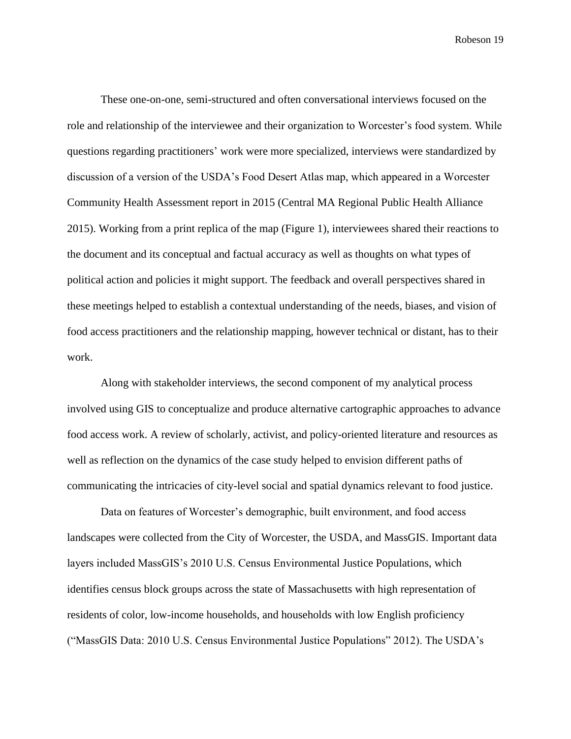These one-on-one, semi-structured and often conversational interviews focused on the role and relationship of the interviewee and their organization to Worcester's food system. While questions regarding practitioners' work were more specialized, interviews were standardized by discussion of a version of the USDA's Food Desert Atlas map, which appeared in a Worcester Community Health Assessment report in 2015 (Central MA Regional Public Health Alliance 2015). Working from a print replica of the map (Figure 1), interviewees shared their reactions to the document and its conceptual and factual accuracy as well as thoughts on what types of political action and policies it might support. The feedback and overall perspectives shared in these meetings helped to establish a contextual understanding of the needs, biases, and vision of food access practitioners and the relationship mapping, however technical or distant, has to their work.

Along with stakeholder interviews, the second component of my analytical process involved using GIS to conceptualize and produce alternative cartographic approaches to advance food access work. A review of scholarly, activist, and policy-oriented literature and resources as well as reflection on the dynamics of the case study helped to envision different paths of communicating the intricacies of city-level social and spatial dynamics relevant to food justice.

Data on features of Worcester's demographic, built environment, and food access landscapes were collected from the City of Worcester, the USDA, and MassGIS. Important data layers included MassGIS's 2010 U.S. Census Environmental Justice Populations, which identifies census block groups across the state of Massachusetts with high representation of residents of color, low-income households, and households with low English proficiency ("MassGIS Data: 2010 U.S. Census Environmental Justice Populations" 2012). The USDA's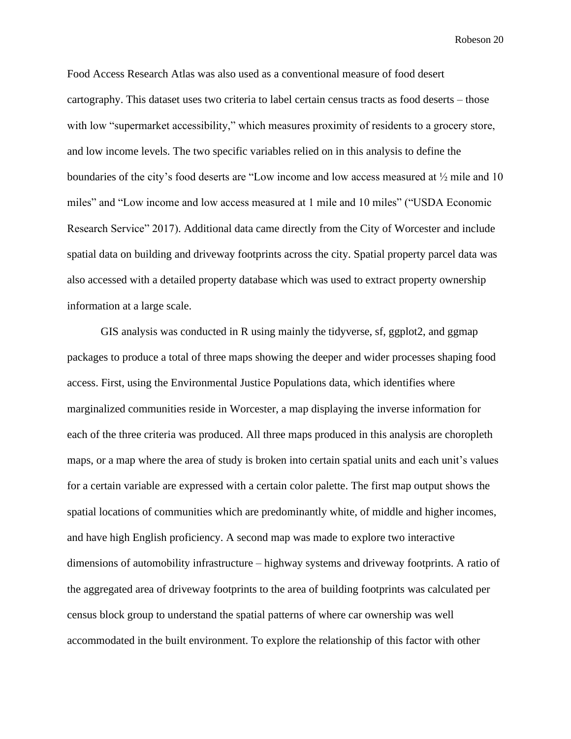Food Access Research Atlas was also used as a conventional measure of food desert cartography. This dataset uses two criteria to label certain census tracts as food deserts – those with low "supermarket accessibility," which measures proximity of residents to a grocery store, and low income levels. The two specific variables relied on in this analysis to define the boundaries of the city's food deserts are "Low income and low access measured at ½ mile and 10 miles" and "Low income and low access measured at 1 mile and 10 miles" ("USDA Economic Research Service" 2017). Additional data came directly from the City of Worcester and include spatial data on building and driveway footprints across the city. Spatial property parcel data was also accessed with a detailed property database which was used to extract property ownership information at a large scale.

GIS analysis was conducted in R using mainly the tidyverse, sf, ggplot2, and ggmap packages to produce a total of three maps showing the deeper and wider processes shaping food access. First, using the Environmental Justice Populations data, which identifies where marginalized communities reside in Worcester, a map displaying the inverse information for each of the three criteria was produced. All three maps produced in this analysis are choropleth maps, or a map where the area of study is broken into certain spatial units and each unit's values for a certain variable are expressed with a certain color palette. The first map output shows the spatial locations of communities which are predominantly white, of middle and higher incomes, and have high English proficiency. A second map was made to explore two interactive dimensions of automobility infrastructure – highway systems and driveway footprints. A ratio of the aggregated area of driveway footprints to the area of building footprints was calculated per census block group to understand the spatial patterns of where car ownership was well accommodated in the built environment. To explore the relationship of this factor with other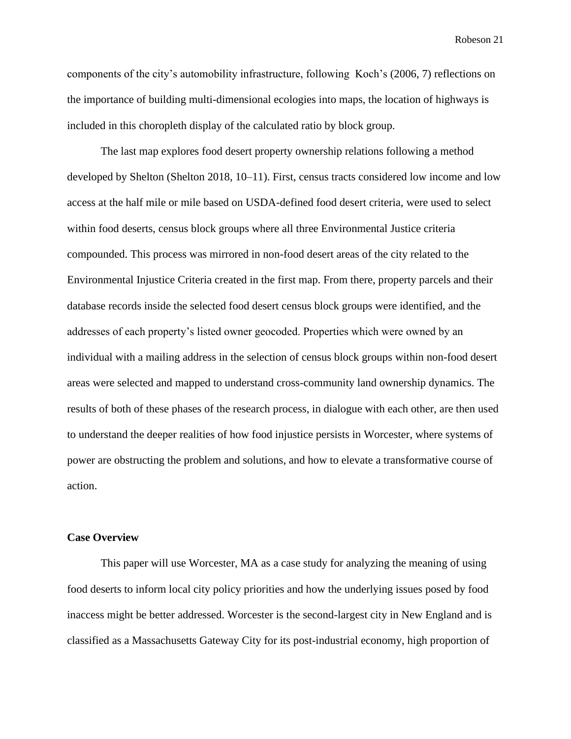components of the city's automobility infrastructure, following Koch's (2006, 7) reflections on the importance of building multi-dimensional ecologies into maps, the location of highways is included in this choropleth display of the calculated ratio by block group.

The last map explores food desert property ownership relations following a method developed by Shelton (Shelton 2018, 10–11). First, census tracts considered low income and low access at the half mile or mile based on USDA-defined food desert criteria, were used to select within food deserts, census block groups where all three Environmental Justice criteria compounded. This process was mirrored in non-food desert areas of the city related to the Environmental Injustice Criteria created in the first map. From there, property parcels and their database records inside the selected food desert census block groups were identified, and the addresses of each property's listed owner geocoded. Properties which were owned by an individual with a mailing address in the selection of census block groups within non-food desert areas were selected and mapped to understand cross-community land ownership dynamics. The results of both of these phases of the research process, in dialogue with each other, are then used to understand the deeper realities of how food injustice persists in Worcester, where systems of power are obstructing the problem and solutions, and how to elevate a transformative course of action.

#### **Case Overview**

This paper will use Worcester, MA as a case study for analyzing the meaning of using food deserts to inform local city policy priorities and how the underlying issues posed by food inaccess might be better addressed. Worcester is the second-largest city in New England and is classified as a Massachusetts Gateway City for its post-industrial economy, high proportion of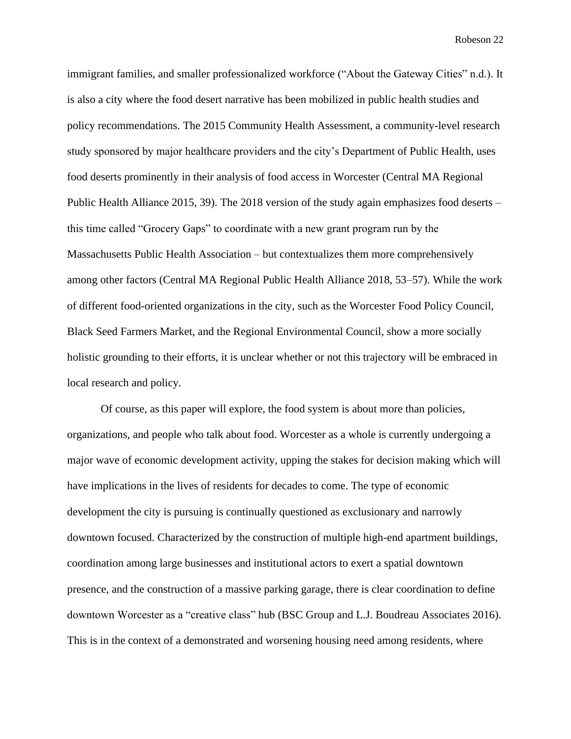immigrant families, and smaller professionalized workforce ("About the Gateway Cities" n.d.). It is also a city where the food desert narrative has been mobilized in public health studies and policy recommendations. The 2015 Community Health Assessment, a community-level research study sponsored by major healthcare providers and the city's Department of Public Health, uses food deserts prominently in their analysis of food access in Worcester (Central MA Regional Public Health Alliance 2015, 39). The 2018 version of the study again emphasizes food deserts – this time called "Grocery Gaps" to coordinate with a new grant program run by the Massachusetts Public Health Association – but contextualizes them more comprehensively among other factors (Central MA Regional Public Health Alliance 2018, 53–57). While the work of different food-oriented organizations in the city, such as the Worcester Food Policy Council, Black Seed Farmers Market, and the Regional Environmental Council, show a more socially holistic grounding to their efforts, it is unclear whether or not this trajectory will be embraced in local research and policy.

Of course, as this paper will explore, the food system is about more than policies, organizations, and people who talk about food. Worcester as a whole is currently undergoing a major wave of economic development activity, upping the stakes for decision making which will have implications in the lives of residents for decades to come. The type of economic development the city is pursuing is continually questioned as exclusionary and narrowly downtown focused. Characterized by the construction of multiple high-end apartment buildings, coordination among large businesses and institutional actors to exert a spatial downtown presence, and the construction of a massive parking garage, there is clear coordination to define downtown Worcester as a "creative class" hub (BSC Group and L.J. Boudreau Associates 2016). This is in the context of a demonstrated and worsening housing need among residents, where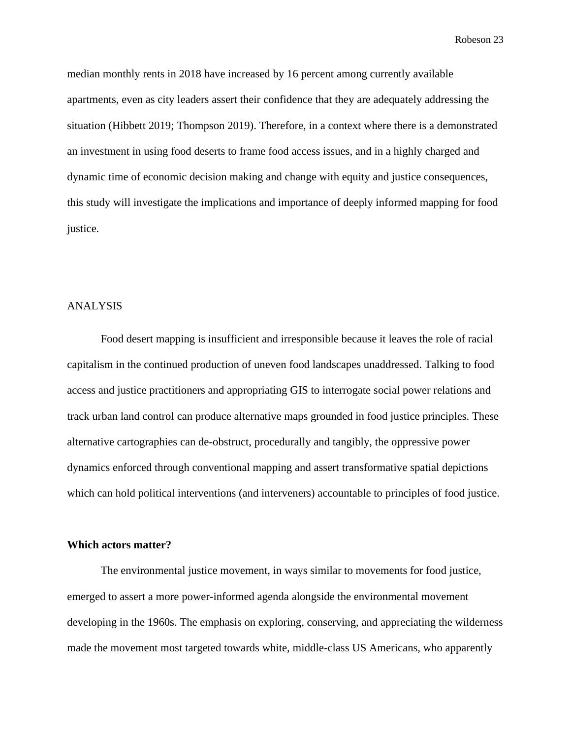median monthly rents in 2018 have increased by 16 percent among currently available apartments, even as city leaders assert their confidence that they are adequately addressing the situation (Hibbett 2019; Thompson 2019). Therefore, in a context where there is a demonstrated an investment in using food deserts to frame food access issues, and in a highly charged and dynamic time of economic decision making and change with equity and justice consequences, this study will investigate the implications and importance of deeply informed mapping for food justice.

#### ANALYSIS

Food desert mapping is insufficient and irresponsible because it leaves the role of racial capitalism in the continued production of uneven food landscapes unaddressed. Talking to food access and justice practitioners and appropriating GIS to interrogate social power relations and track urban land control can produce alternative maps grounded in food justice principles. These alternative cartographies can de-obstruct, procedurally and tangibly, the oppressive power dynamics enforced through conventional mapping and assert transformative spatial depictions which can hold political interventions (and interveners) accountable to principles of food justice.

#### **Which actors matter?**

The environmental justice movement, in ways similar to movements for food justice, emerged to assert a more power-informed agenda alongside the environmental movement developing in the 1960s. The emphasis on exploring, conserving, and appreciating the wilderness made the movement most targeted towards white, middle-class US Americans, who apparently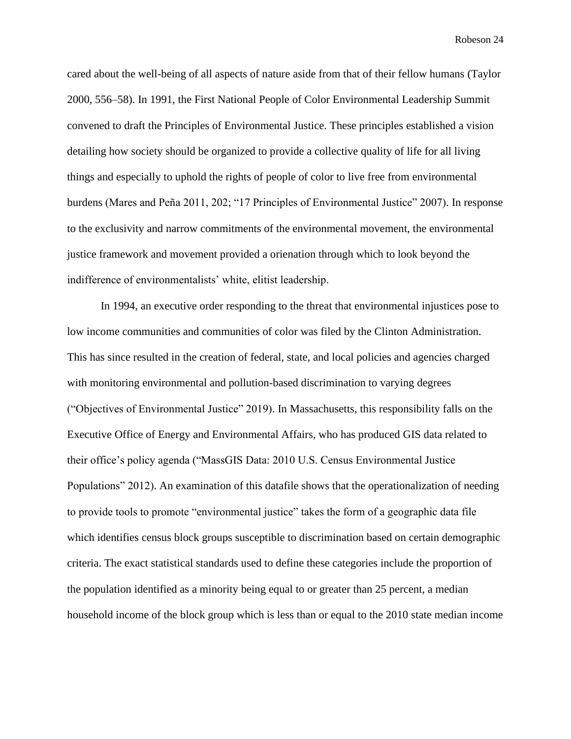cared about the well-being of all aspects of nature aside from that of their fellow humans (Taylor 2000, 556–58). In 1991, the First National People of Color Environmental Leadership Summit convened to draft the Principles of Environmental Justice. These principles established a vision detailing how society should be organized to provide a collective quality of life for all living things and especially to uphold the rights of people of color to live free from environmental burdens (Mares and Peña 2011, 202; "17 Principles of Environmental Justice" 2007). In response to the exclusivity and narrow commitments of the environmental movement, the environmental justice framework and movement provided a orienation through which to look beyond the indifference of environmentalists' white, elitist leadership.

In 1994, an executive order responding to the threat that environmental injustices pose to low income communities and communities of color was filed by the Clinton Administration. This has since resulted in the creation of federal, state, and local policies and agencies charged with monitoring environmental and pollution-based discrimination to varying degrees ("Objectives of Environmental Justice" 2019). In Massachusetts, this responsibility falls on the Executive Office of Energy and Environmental Affairs, who has produced GIS data related to their office's policy agenda ("MassGIS Data: 2010 U.S. Census Environmental Justice Populations" 2012). An examination of this datafile shows that the operationalization of needing to provide tools to promote "environmental justice" takes the form of a geographic data file which identifies census block groups susceptible to discrimination based on certain demographic criteria. The exact statistical standards used to define these categories include the proportion of the population identified as a minority being equal to or greater than 25 percent, a median household income of the block group which is less than or equal to the 2010 state median income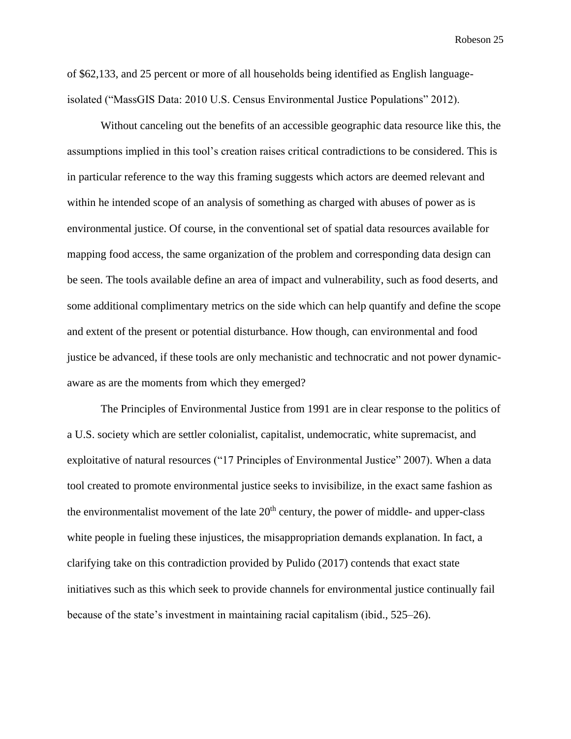of \$62,133, and 25 percent or more of all households being identified as English languageisolated ("MassGIS Data: 2010 U.S. Census Environmental Justice Populations" 2012).

Without canceling out the benefits of an accessible geographic data resource like this, the assumptions implied in this tool's creation raises critical contradictions to be considered. This is in particular reference to the way this framing suggests which actors are deemed relevant and within he intended scope of an analysis of something as charged with abuses of power as is environmental justice. Of course, in the conventional set of spatial data resources available for mapping food access, the same organization of the problem and corresponding data design can be seen. The tools available define an area of impact and vulnerability, such as food deserts, and some additional complimentary metrics on the side which can help quantify and define the scope and extent of the present or potential disturbance. How though, can environmental and food justice be advanced, if these tools are only mechanistic and technocratic and not power dynamicaware as are the moments from which they emerged?

The Principles of Environmental Justice from 1991 are in clear response to the politics of a U.S. society which are settler colonialist, capitalist, undemocratic, white supremacist, and exploitative of natural resources ("17 Principles of Environmental Justice" 2007). When a data tool created to promote environmental justice seeks to invisibilize, in the exact same fashion as the environmentalist movement of the late  $20<sup>th</sup>$  century, the power of middle- and upper-class white people in fueling these injustices, the misappropriation demands explanation. In fact, a clarifying take on this contradiction provided by Pulido (2017) contends that exact state initiatives such as this which seek to provide channels for environmental justice continually fail because of the state's investment in maintaining racial capitalism (ibid., 525–26).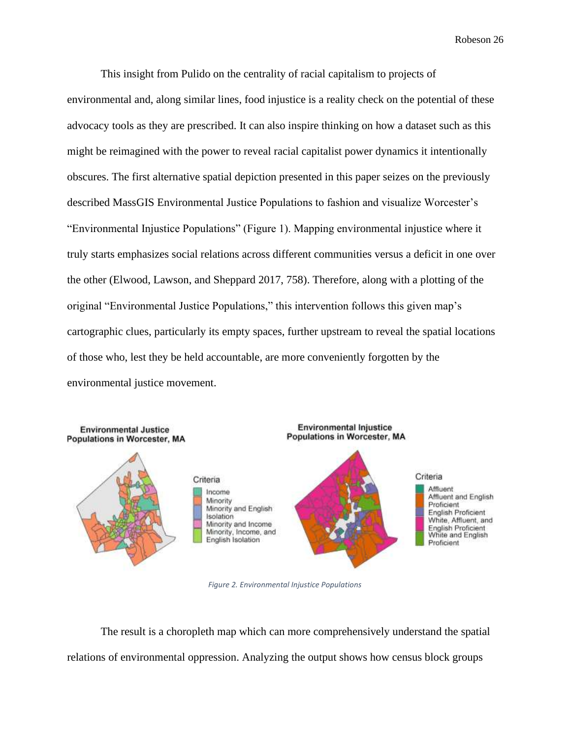This insight from Pulido on the centrality of racial capitalism to projects of environmental and, along similar lines, food injustice is a reality check on the potential of these advocacy tools as they are prescribed. It can also inspire thinking on how a dataset such as this might be reimagined with the power to reveal racial capitalist power dynamics it intentionally obscures. The first alternative spatial depiction presented in this paper seizes on the previously described MassGIS Environmental Justice Populations to fashion and visualize Worcester's "Environmental Injustice Populations" (Figure 1). Mapping environmental injustice where it truly starts emphasizes social relations across different communities versus a deficit in one over the other (Elwood, Lawson, and Sheppard 2017, 758). Therefore, along with a plotting of the original "Environmental Justice Populations," this intervention follows this given map's cartographic clues, particularly its empty spaces, further upstream to reveal the spatial locations of those who, lest they be held accountable, are more conveniently forgotten by the environmental justice movement.



*Figure 2. Environmental Injustice Populations*

The result is a choropleth map which can more comprehensively understand the spatial relations of environmental oppression. Analyzing the output shows how census block groups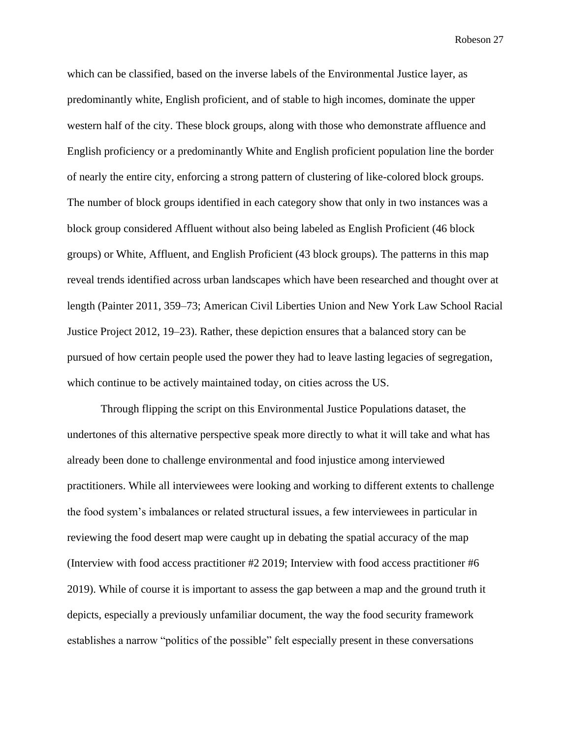which can be classified, based on the inverse labels of the Environmental Justice layer, as predominantly white, English proficient, and of stable to high incomes, dominate the upper western half of the city. These block groups, along with those who demonstrate affluence and English proficiency or a predominantly White and English proficient population line the border of nearly the entire city, enforcing a strong pattern of clustering of like-colored block groups. The number of block groups identified in each category show that only in two instances was a block group considered Affluent without also being labeled as English Proficient (46 block groups) or White, Affluent, and English Proficient (43 block groups). The patterns in this map reveal trends identified across urban landscapes which have been researched and thought over at length (Painter 2011, 359–73; American Civil Liberties Union and New York Law School Racial Justice Project 2012, 19–23). Rather, these depiction ensures that a balanced story can be pursued of how certain people used the power they had to leave lasting legacies of segregation, which continue to be actively maintained today, on cities across the US.

Through flipping the script on this Environmental Justice Populations dataset, the undertones of this alternative perspective speak more directly to what it will take and what has already been done to challenge environmental and food injustice among interviewed practitioners. While all interviewees were looking and working to different extents to challenge the food system's imbalances or related structural issues, a few interviewees in particular in reviewing the food desert map were caught up in debating the spatial accuracy of the map (Interview with food access practitioner #2 2019; Interview with food access practitioner #6 2019). While of course it is important to assess the gap between a map and the ground truth it depicts, especially a previously unfamiliar document, the way the food security framework establishes a narrow "politics of the possible" felt especially present in these conversations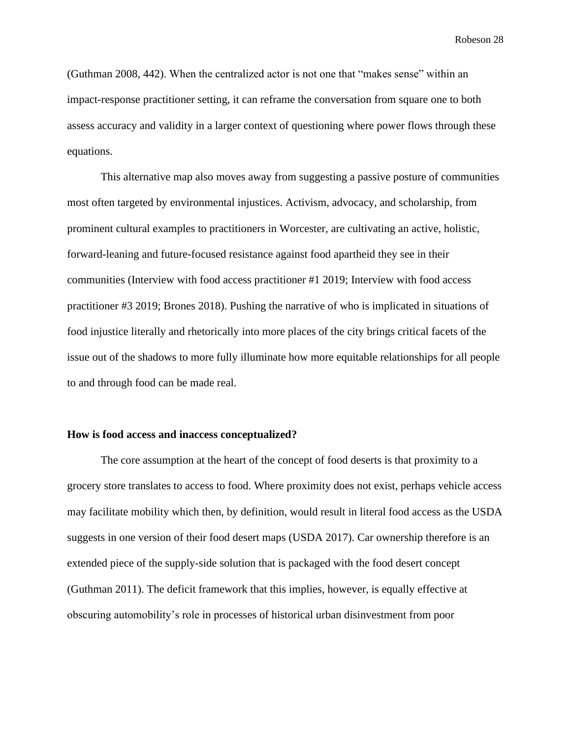(Guthman 2008, 442). When the centralized actor is not one that "makes sense" within an impact-response practitioner setting, it can reframe the conversation from square one to both assess accuracy and validity in a larger context of questioning where power flows through these equations.

This alternative map also moves away from suggesting a passive posture of communities most often targeted by environmental injustices. Activism, advocacy, and scholarship, from prominent cultural examples to practitioners in Worcester, are cultivating an active, holistic, forward-leaning and future-focused resistance against food apartheid they see in their communities (Interview with food access practitioner #1 2019; Interview with food access practitioner #3 2019; Brones 2018). Pushing the narrative of who is implicated in situations of food injustice literally and rhetorically into more places of the city brings critical facets of the issue out of the shadows to more fully illuminate how more equitable relationships for all people to and through food can be made real.

#### **How is food access and inaccess conceptualized?**

The core assumption at the heart of the concept of food deserts is that proximity to a grocery store translates to access to food. Where proximity does not exist, perhaps vehicle access may facilitate mobility which then, by definition, would result in literal food access as the USDA suggests in one version of their food desert maps (USDA 2017). Car ownership therefore is an extended piece of the supply-side solution that is packaged with the food desert concept (Guthman 2011). The deficit framework that this implies, however, is equally effective at obscuring automobility's role in processes of historical urban disinvestment from poor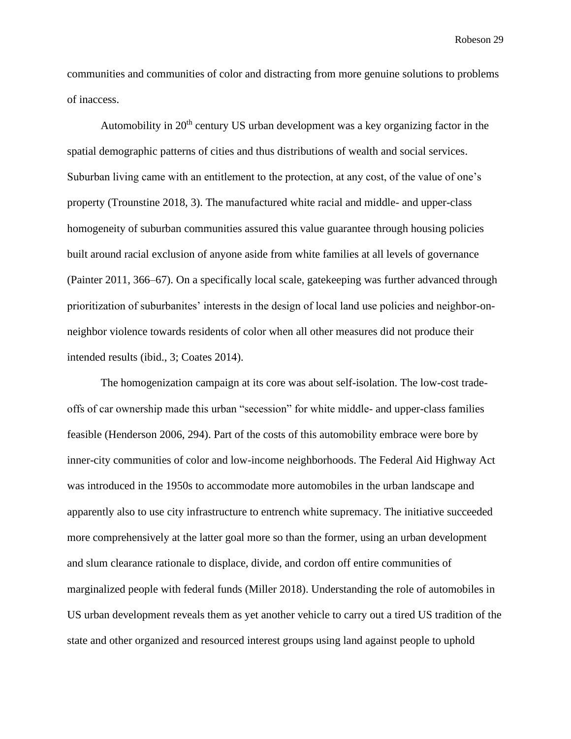communities and communities of color and distracting from more genuine solutions to problems of inaccess.

Automobility in  $20<sup>th</sup>$  century US urban development was a key organizing factor in the spatial demographic patterns of cities and thus distributions of wealth and social services. Suburban living came with an entitlement to the protection, at any cost, of the value of one's property (Trounstine 2018, 3). The manufactured white racial and middle- and upper-class homogeneity of suburban communities assured this value guarantee through housing policies built around racial exclusion of anyone aside from white families at all levels of governance (Painter 2011, 366–67). On a specifically local scale, gatekeeping was further advanced through prioritization of suburbanites' interests in the design of local land use policies and neighbor-onneighbor violence towards residents of color when all other measures did not produce their intended results (ibid., 3; Coates 2014).

The homogenization campaign at its core was about self-isolation. The low-cost tradeoffs of car ownership made this urban "secession" for white middle- and upper-class families feasible (Henderson 2006, 294). Part of the costs of this automobility embrace were bore by inner-city communities of color and low-income neighborhoods. The Federal Aid Highway Act was introduced in the 1950s to accommodate more automobiles in the urban landscape and apparently also to use city infrastructure to entrench white supremacy. The initiative succeeded more comprehensively at the latter goal more so than the former, using an urban development and slum clearance rationale to displace, divide, and cordon off entire communities of marginalized people with federal funds (Miller 2018). Understanding the role of automobiles in US urban development reveals them as yet another vehicle to carry out a tired US tradition of the state and other organized and resourced interest groups using land against people to uphold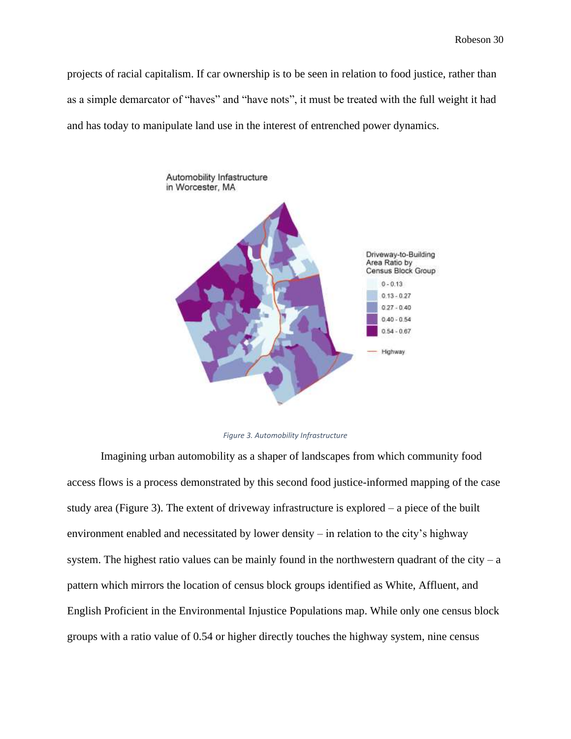projects of racial capitalism. If car ownership is to be seen in relation to food justice, rather than as a simple demarcator of "haves" and "have nots", it must be treated with the full weight it had and has today to manipulate land use in the interest of entrenched power dynamics.



#### *Figure 3. Automobility Infrastructure*

Imagining urban automobility as a shaper of landscapes from which community food access flows is a process demonstrated by this second food justice-informed mapping of the case study area (Figure 3). The extent of driveway infrastructure is explored – a piece of the built environment enabled and necessitated by lower density – in relation to the city's highway system. The highest ratio values can be mainly found in the northwestern quadrant of the city – a pattern which mirrors the location of census block groups identified as White, Affluent, and English Proficient in the Environmental Injustice Populations map. While only one census block groups with a ratio value of 0.54 or higher directly touches the highway system, nine census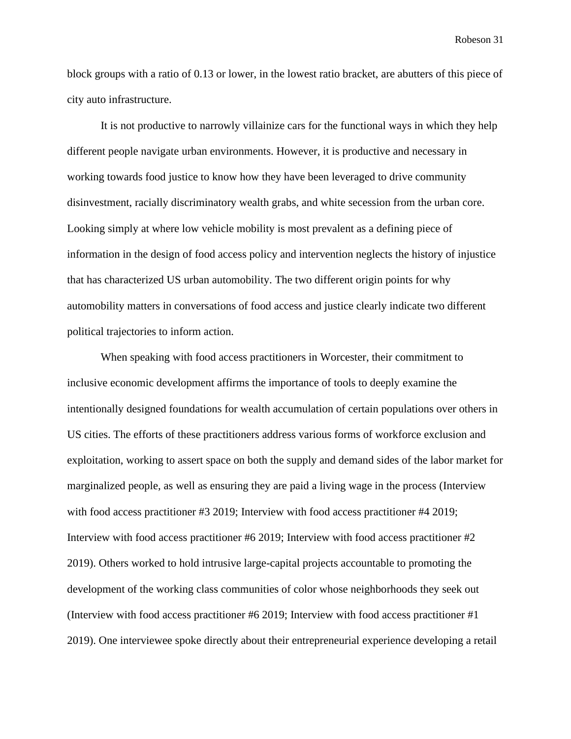block groups with a ratio of 0.13 or lower, in the lowest ratio bracket, are abutters of this piece of city auto infrastructure.

It is not productive to narrowly villainize cars for the functional ways in which they help different people navigate urban environments. However, it is productive and necessary in working towards food justice to know how they have been leveraged to drive community disinvestment, racially discriminatory wealth grabs, and white secession from the urban core. Looking simply at where low vehicle mobility is most prevalent as a defining piece of information in the design of food access policy and intervention neglects the history of injustice that has characterized US urban automobility. The two different origin points for why automobility matters in conversations of food access and justice clearly indicate two different political trajectories to inform action.

When speaking with food access practitioners in Worcester, their commitment to inclusive economic development affirms the importance of tools to deeply examine the intentionally designed foundations for wealth accumulation of certain populations over others in US cities. The efforts of these practitioners address various forms of workforce exclusion and exploitation, working to assert space on both the supply and demand sides of the labor market for marginalized people, as well as ensuring they are paid a living wage in the process (Interview with food access practitioner #3 2019; Interview with food access practitioner #4 2019; Interview with food access practitioner #6 2019; Interview with food access practitioner #2 2019). Others worked to hold intrusive large-capital projects accountable to promoting the development of the working class communities of color whose neighborhoods they seek out (Interview with food access practitioner #6 2019; Interview with food access practitioner #1 2019). One interviewee spoke directly about their entrepreneurial experience developing a retail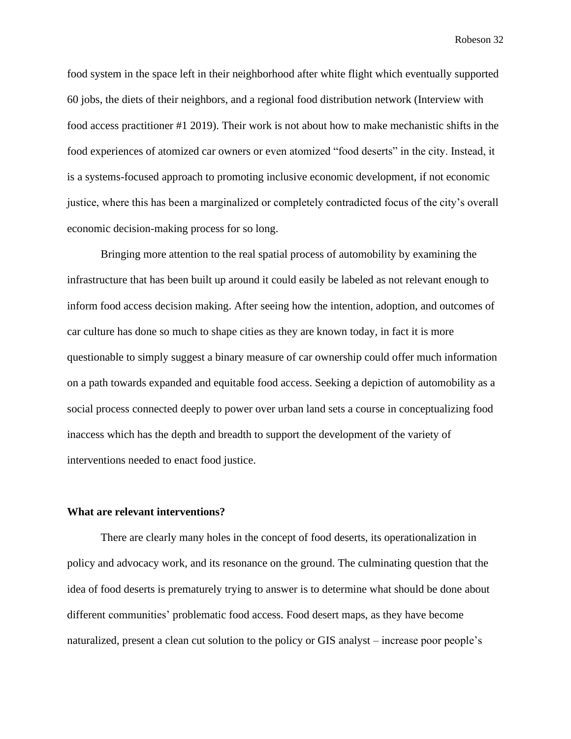food system in the space left in their neighborhood after white flight which eventually supported 60 jobs, the diets of their neighbors, and a regional food distribution network (Interview with food access practitioner #1 2019). Their work is not about how to make mechanistic shifts in the food experiences of atomized car owners or even atomized "food deserts" in the city. Instead, it is a systems-focused approach to promoting inclusive economic development, if not economic justice, where this has been a marginalized or completely contradicted focus of the city's overall economic decision-making process for so long.

Bringing more attention to the real spatial process of automobility by examining the infrastructure that has been built up around it could easily be labeled as not relevant enough to inform food access decision making. After seeing how the intention, adoption, and outcomes of car culture has done so much to shape cities as they are known today, in fact it is more questionable to simply suggest a binary measure of car ownership could offer much information on a path towards expanded and equitable food access. Seeking a depiction of automobility as a social process connected deeply to power over urban land sets a course in conceptualizing food inaccess which has the depth and breadth to support the development of the variety of interventions needed to enact food justice.

#### **What are relevant interventions?**

There are clearly many holes in the concept of food deserts, its operationalization in policy and advocacy work, and its resonance on the ground. The culminating question that the idea of food deserts is prematurely trying to answer is to determine what should be done about different communities' problematic food access. Food desert maps, as they have become naturalized, present a clean cut solution to the policy or GIS analyst – increase poor people's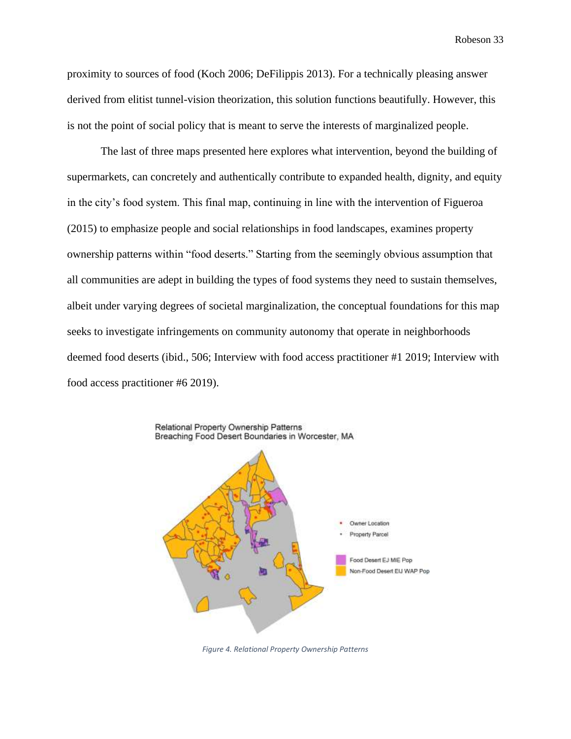proximity to sources of food (Koch 2006; DeFilippis 2013). For a technically pleasing answer derived from elitist tunnel-vision theorization, this solution functions beautifully. However, this is not the point of social policy that is meant to serve the interests of marginalized people.

The last of three maps presented here explores what intervention, beyond the building of supermarkets, can concretely and authentically contribute to expanded health, dignity, and equity in the city's food system. This final map, continuing in line with the intervention of Figueroa (2015) to emphasize people and social relationships in food landscapes, examines property ownership patterns within "food deserts." Starting from the seemingly obvious assumption that all communities are adept in building the types of food systems they need to sustain themselves, albeit under varying degrees of societal marginalization, the conceptual foundations for this map seeks to investigate infringements on community autonomy that operate in neighborhoods deemed food deserts (ibid., 506; Interview with food access practitioner #1 2019; Interview with food access practitioner #6 2019).



*Figure 4. Relational Property Ownership Patterns*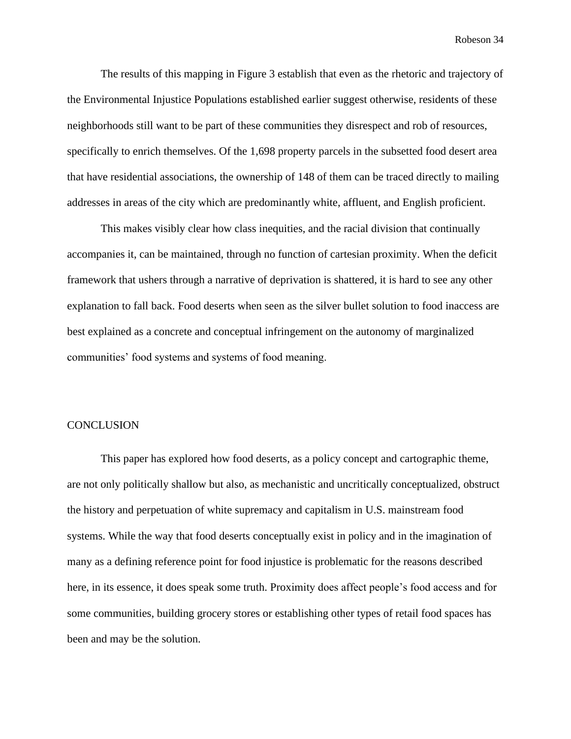The results of this mapping in Figure 3 establish that even as the rhetoric and trajectory of the Environmental Injustice Populations established earlier suggest otherwise, residents of these neighborhoods still want to be part of these communities they disrespect and rob of resources, specifically to enrich themselves. Of the 1,698 property parcels in the subsetted food desert area that have residential associations, the ownership of 148 of them can be traced directly to mailing addresses in areas of the city which are predominantly white, affluent, and English proficient.

This makes visibly clear how class inequities, and the racial division that continually accompanies it, can be maintained, through no function of cartesian proximity. When the deficit framework that ushers through a narrative of deprivation is shattered, it is hard to see any other explanation to fall back. Food deserts when seen as the silver bullet solution to food inaccess are best explained as a concrete and conceptual infringement on the autonomy of marginalized communities' food systems and systems of food meaning.

#### **CONCLUSION**

This paper has explored how food deserts, as a policy concept and cartographic theme, are not only politically shallow but also, as mechanistic and uncritically conceptualized, obstruct the history and perpetuation of white supremacy and capitalism in U.S. mainstream food systems. While the way that food deserts conceptually exist in policy and in the imagination of many as a defining reference point for food injustice is problematic for the reasons described here, in its essence, it does speak some truth. Proximity does affect people's food access and for some communities, building grocery stores or establishing other types of retail food spaces has been and may be the solution.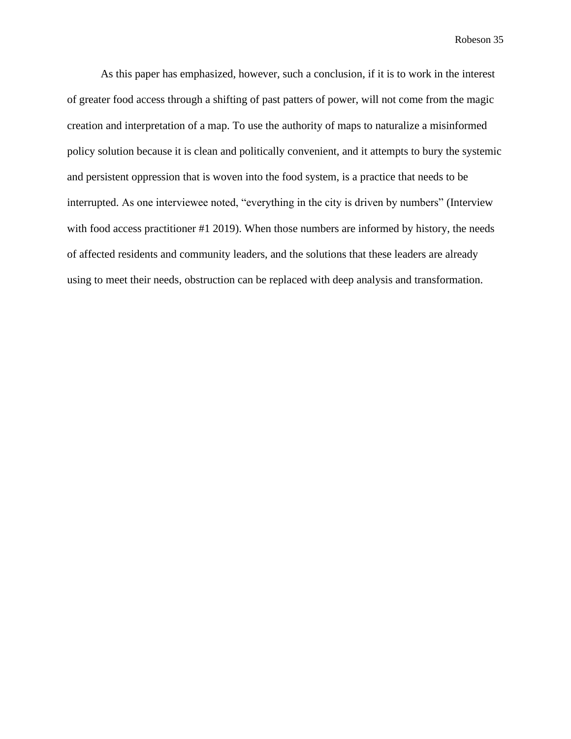As this paper has emphasized, however, such a conclusion, if it is to work in the interest of greater food access through a shifting of past patters of power, will not come from the magic creation and interpretation of a map. To use the authority of maps to naturalize a misinformed policy solution because it is clean and politically convenient, and it attempts to bury the systemic and persistent oppression that is woven into the food system, is a practice that needs to be interrupted. As one interviewee noted, "everything in the city is driven by numbers" (Interview with food access practitioner #1 2019). When those numbers are informed by history, the needs of affected residents and community leaders, and the solutions that these leaders are already using to meet their needs, obstruction can be replaced with deep analysis and transformation.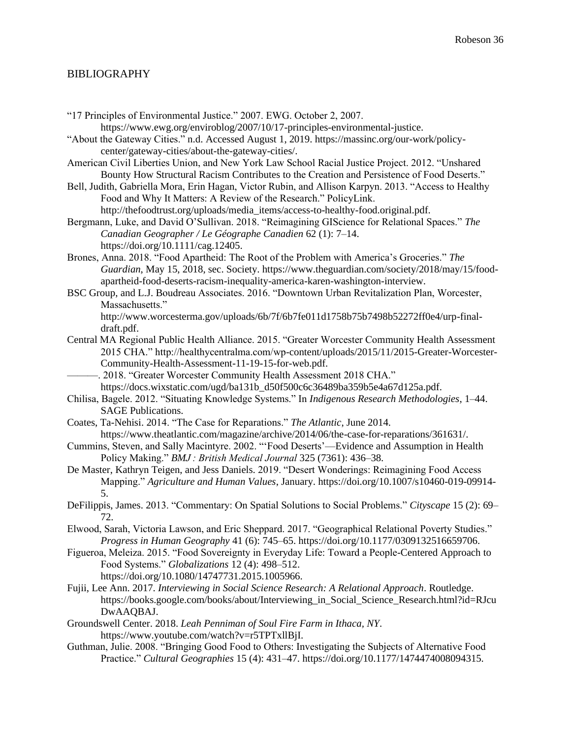#### BIBLIOGRAPHY

- "17 Principles of Environmental Justice." 2007. EWG. October 2, 2007. https://www.ewg.org/enviroblog/2007/10/17-principles-environmental-justice. "About the Gateway Cities." n.d. Accessed August 1, 2019. https://massinc.org/our-work/policycenter/gateway-cities/about-the-gateway-cities/.
- American Civil Liberties Union, and New York Law School Racial Justice Project. 2012. "Unshared Bounty How Structural Racism Contributes to the Creation and Persistence of Food Deserts."
- Bell, Judith, Gabriella Mora, Erin Hagan, Victor Rubin, and Allison Karpyn. 2013. "Access to Healthy Food and Why It Matters: A Review of the Research." PolicyLink.

http://thefoodtrust.org/uploads/media\_items/access-to-healthy-food.original.pdf.

- Bergmann, Luke, and David O'Sullivan. 2018. "Reimagining GIScience for Relational Spaces." *The Canadian Geographer / Le Géographe Canadien* 62 (1): 7–14. https://doi.org/10.1111/cag.12405.
- Brones, Anna. 2018. "Food Apartheid: The Root of the Problem with America's Groceries." *The Guardian*, May 15, 2018, sec. Society. https://www.theguardian.com/society/2018/may/15/foodapartheid-food-deserts-racism-inequality-america-karen-washington-interview.
- BSC Group, and L.J. Boudreau Associates. 2016. "Downtown Urban Revitalization Plan, Worcester, Massachusetts."

http://www.worcesterma.gov/uploads/6b/7f/6b7fe011d1758b75b7498b52272ff0e4/urp-finaldraft.pdf.

- Central MA Regional Public Health Alliance. 2015. "Greater Worcester Community Health Assessment 2015 CHA." http://healthycentralma.com/wp-content/uploads/2015/11/2015-Greater-Worcester-Community-Health-Assessment-11-19-15-for-web.pdf.
- . 2018. "Greater Worcester Community Health Assessment 2018 CHA." https://docs.wixstatic.com/ugd/ba131b\_d50f500c6c36489ba359b5e4a67d125a.pdf.
- Chilisa, Bagele. 2012. "Situating Knowledge Systems." In *Indigenous Research Methodologies*, 1–44. SAGE Publications.
- Coates, Ta-Nehisi. 2014. "The Case for Reparations." *The Atlantic*, June 2014. https://www.theatlantic.com/magazine/archive/2014/06/the-case-for-reparations/361631/.
- Cummins, Steven, and Sally Macintyre. 2002. "'Food Deserts'—Evidence and Assumption in Health Policy Making." *BMJ : British Medical Journal* 325 (7361): 436–38.
- De Master, Kathryn Teigen, and Jess Daniels. 2019. "Desert Wonderings: Reimagining Food Access Mapping." *Agriculture and Human Values*, January. https://doi.org/10.1007/s10460-019-09914- 5.
- DeFilippis, James. 2013. "Commentary: On Spatial Solutions to Social Problems." *Cityscape* 15 (2): 69– 72.
- Elwood, Sarah, Victoria Lawson, and Eric Sheppard. 2017. "Geographical Relational Poverty Studies." *Progress in Human Geography* 41 (6): 745–65. https://doi.org/10.1177/0309132516659706.
- Figueroa, Meleiza. 2015. "Food Sovereignty in Everyday Life: Toward a People-Centered Approach to Food Systems." *Globalizations* 12 (4): 498–512. https://doi.org/10.1080/14747731.2015.1005966.
- Fujii, Lee Ann. 2017. *Interviewing in Social Science Research: A Relational Approach*. Routledge. https://books.google.com/books/about/Interviewing\_in\_Social\_Science\_Research.html?id=RJcu DwAAQBAJ.
- Groundswell Center. 2018. *Leah Penniman of Soul Fire Farm in Ithaca, NY*. https://www.youtube.com/watch?v=r5TPTxllBjI.
- Guthman, Julie. 2008. "Bringing Good Food to Others: Investigating the Subjects of Alternative Food Practice." *Cultural Geographies* 15 (4): 431–47. https://doi.org/10.1177/1474474008094315.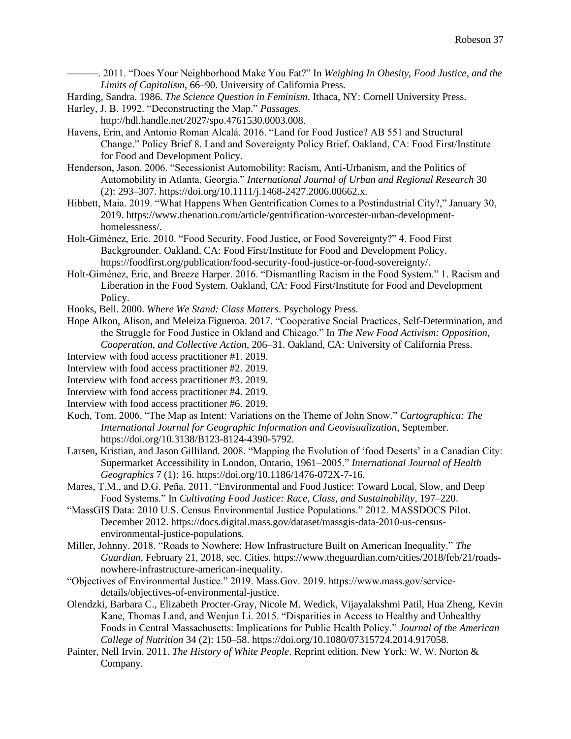———. 2011. "Does Your Neighborhood Make You Fat?" In *Weighing In Obesity, Food Justice, and the Limits of Capitalism*, 66–90. University of California Press.

Harding, Sandra. 1986. *The Science Question in Feminism*. Ithaca, NY: Cornell University Press.

- Harley, J. B. 1992. "Deconstructing the Map." *Passages*.
- http://hdl.handle.net/2027/spo.4761530.0003.008.
- Havens, Erin, and Antonio Roman Alcalá. 2016. "Land for Food Justice? AB 551 and Structural Change." Policy Brief 8. Land and Sovereignty Policy Brief. Oakland, CA: Food First/Institute for Food and Development Policy.
- Henderson, Jason. 2006. "Secessionist Automobility: Racism, Anti-Urbanism, and the Politics of Automobility in Atlanta, Georgia." *International Journal of Urban and Regional Research* 30 (2): 293–307. https://doi.org/10.1111/j.1468-2427.2006.00662.x.
- Hibbett, Maia. 2019. "What Happens When Gentrification Comes to a Postindustrial City?," January 30, 2019. https://www.thenation.com/article/gentrification-worcester-urban-developmenthomelessness/.
- Holt-Giménez, Eric. 2010. "Food Security, Food Justice, or Food Sovereignty?" 4. Food First Backgrounder. Oakland, CA: Food First/Institute for Food and Development Policy. https://foodfirst.org/publication/food-security-food-justice-or-food-sovereignty/.
- Holt-Giménez, Eric, and Breeze Harper. 2016. "Dismantling Racism in the Food System." 1. Racism and Liberation in the Food System. Oakland, CA: Food First/Institute for Food and Development Policy.
- Hooks, Bell. 2000. *Where We Stand: Class Matters*. Psychology Press.
- Hope Alkon, Alison, and Meleiza Figueroa. 2017. "Cooperative Social Practices, Self-Determination, and the Struggle for Food Justice in Okland and Chicago." In *The New Food Activism: Opposition,*

*Cooperation, and Collective Action*, 206–31. Oakland, CA: University of California Press.

- Interview with food access practitioner #1. 2019.
- Interview with food access practitioner #2. 2019.
- Interview with food access practitioner #3. 2019.
- Interview with food access practitioner #4. 2019.
- Interview with food access practitioner #6. 2019.
- Koch, Tom. 2006. "The Map as Intent: Variations on the Theme of John Snow." *Cartographica: The International Journal for Geographic Information and Geovisualization*, September. https://doi.org/10.3138/B123-8124-4390-5792.
- Larsen, Kristian, and Jason Gilliland. 2008. "Mapping the Evolution of 'food Deserts' in a Canadian City: Supermarket Accessibility in London, Ontario, 1961–2005." *International Journal of Health Geographics* 7 (1): 16. https://doi.org/10.1186/1476-072X-7-16.
- Mares, T.M., and D.G. Peña. 2011. "Environmental and Food Justice: Toward Local, Slow, and Deep Food Systems." In *Cultivating Food Justice: Race, Class, and Sustainability*, 197–220.
- "MassGIS Data: 2010 U.S. Census Environmental Justice Populations." 2012. MASSDOCS Pilot. December 2012. https://docs.digital.mass.gov/dataset/massgis-data-2010-us-censusenvironmental-justice-populations.
- Miller, Johnny. 2018. "Roads to Nowhere: How Infrastructure Built on American Inequality." *The Guardian*, February 21, 2018, sec. Cities. https://www.theguardian.com/cities/2018/feb/21/roadsnowhere-infrastructure-american-inequality.
- "Objectives of Environmental Justice." 2019. Mass.Gov. 2019. https://www.mass.gov/servicedetails/objectives-of-environmental-justice.
- Olendzki, Barbara C., Elizabeth Procter-Gray, Nicole M. Wedick, Vijayalakshmi Patil, Hua Zheng, Kevin Kane, Thomas Land, and Wenjun Li. 2015. "Disparities in Access to Healthy and Unhealthy Foods in Central Massachusetts: Implications for Public Health Policy." *Journal of the American College of Nutrition* 34 (2): 150–58. https://doi.org/10.1080/07315724.2014.917058.
- Painter, Nell Irvin. 2011. *The History of White People*. Reprint edition. New York: W. W. Norton & Company.